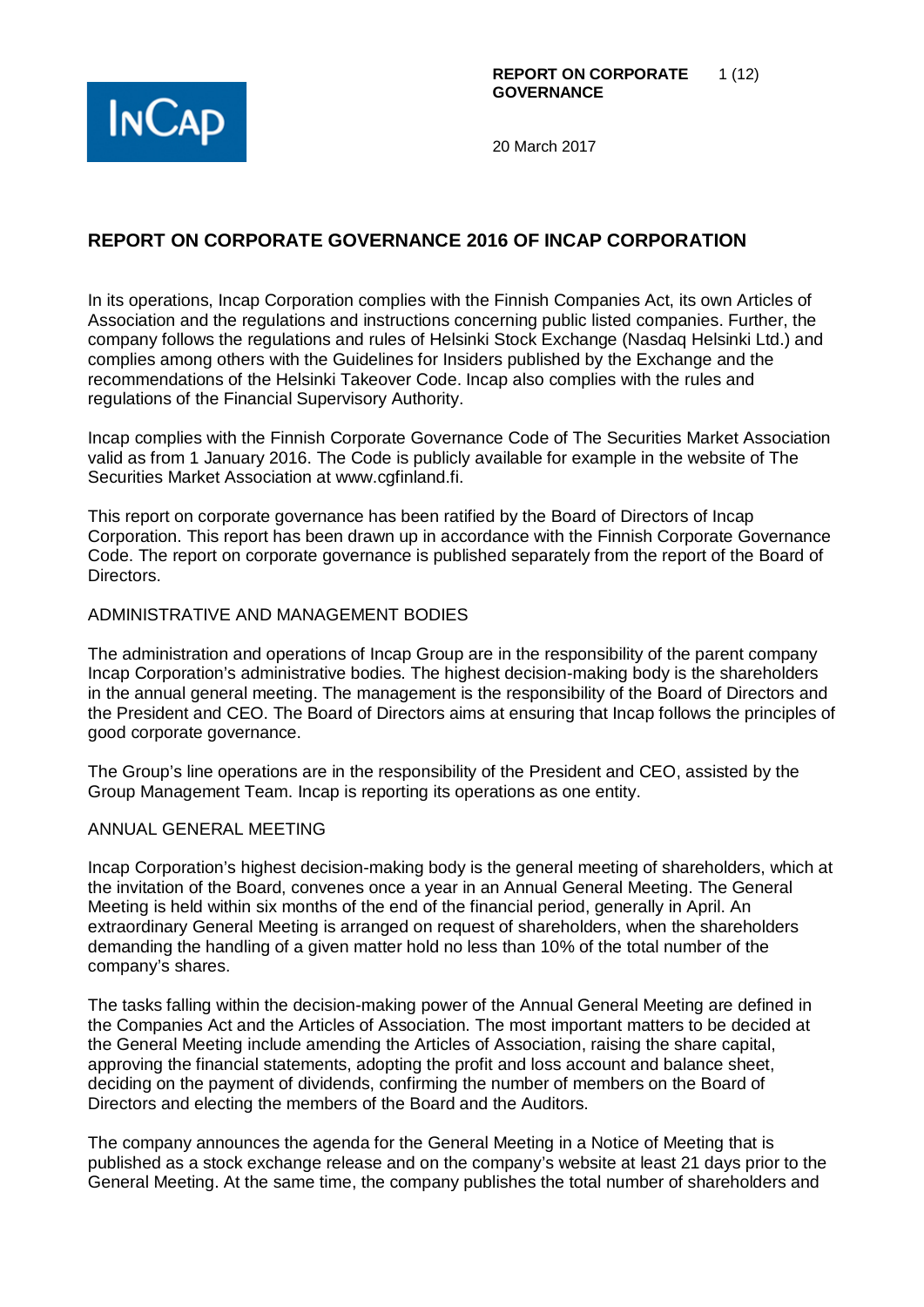

# **REPORT ON CORPORATE GOVERNANCE 2016 OF INCAP CORPORATION**

In its operations, Incap Corporation complies with the Finnish Companies Act, its own Articles of Association and the regulations and instructions concerning public listed companies. Further, the company follows the regulations and rules of Helsinki Stock Exchange (Nasdaq Helsinki Ltd.) and complies among others with the Guidelines for Insiders published by the Exchange and the recommendations of the Helsinki Takeover Code. Incap also complies with the rules and regulations of the Financial Supervisory Authority.

Incap complies with the Finnish Corporate Governance Code of The Securities Market Association valid as from 1 January 2016. The Code is publicly available for example in the website of The Securities Market Association at www.cgfinland.fi.

This report on corporate governance has been ratified by the Board of Directors of Incap Corporation. This report has been drawn up in accordance with the Finnish Corporate Governance Code. The report on corporate governance is published separately from the report of the Board of Directors.

#### ADMINISTRATIVE AND MANAGEMENT BODIES

The administration and operations of Incap Group are in the responsibility of the parent company Incap Corporation's administrative bodies. The highest decision-making body is the shareholders in the annual general meeting. The management is the responsibility of the Board of Directors and the President and CEO. The Board of Directors aims at ensuring that Incap follows the principles of good corporate governance.

The Group's line operations are in the responsibility of the President and CEO, assisted by the Group Management Team. Incap is reporting its operations as one entity.

#### ANNUAL GENERAL MEETING

Incap Corporation's highest decision-making body is the general meeting of shareholders, which at the invitation of the Board, convenes once a year in an Annual General Meeting. The General Meeting is held within six months of the end of the financial period, generally in April. An extraordinary General Meeting is arranged on request of shareholders, when the shareholders demanding the handling of a given matter hold no less than 10% of the total number of the company's shares.

The tasks falling within the decision-making power of the Annual General Meeting are defined in the Companies Act and the Articles of Association. The most important matters to be decided at the General Meeting include amending the Articles of Association, raising the share capital, approving the financial statements, adopting the profit and loss account and balance sheet, deciding on the payment of dividends, confirming the number of members on the Board of Directors and electing the members of the Board and the Auditors.

The company announces the agenda for the General Meeting in a Notice of Meeting that is published as a stock exchange release and on the company's website at least 21 days prior to the General Meeting. At the same time, the company publishes the total number of shareholders and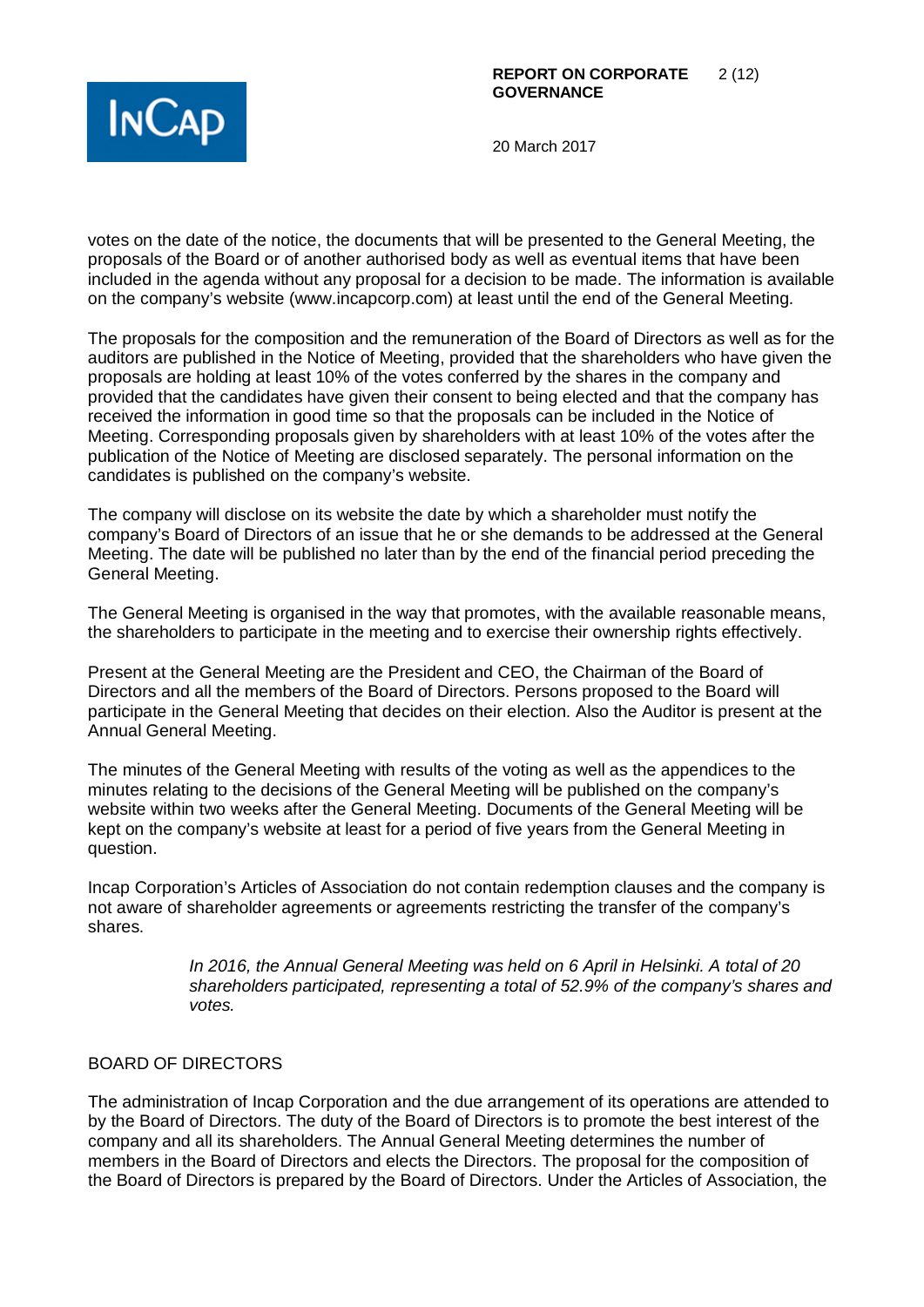

votes on the date of the notice, the documents that will be presented to the General Meeting, the proposals of the Board or of another authorised body as well as eventual items that have been included in the agenda without any proposal for a decision to be made. The information is available on the company's website (www.incapcorp.com) at least until the end of the General Meeting.

The proposals for the composition and the remuneration of the Board of Directors as well as for the auditors are published in the Notice of Meeting, provided that the shareholders who have given the proposals are holding at least 10% of the votes conferred by the shares in the company and provided that the candidates have given their consent to being elected and that the company has received the information in good time so that the proposals can be included in the Notice of Meeting. Corresponding proposals given by shareholders with at least 10% of the votes after the publication of the Notice of Meeting are disclosed separately. The personal information on the candidates is published on the company's website.

The company will disclose on its website the date by which a shareholder must notify the company's Board of Directors of an issue that he or she demands to be addressed at the General Meeting. The date will be published no later than by the end of the financial period preceding the General Meeting.

The General Meeting is organised in the way that promotes, with the available reasonable means, the shareholders to participate in the meeting and to exercise their ownership rights effectively.

Present at the General Meeting are the President and CEO, the Chairman of the Board of Directors and all the members of the Board of Directors. Persons proposed to the Board will participate in the General Meeting that decides on their election. Also the Auditor is present at the Annual General Meeting.

The minutes of the General Meeting with results of the voting as well as the appendices to the minutes relating to the decisions of the General Meeting will be published on the company's website within two weeks after the General Meeting. Documents of the General Meeting will be kept on the company's website at least for a period of five years from the General Meeting in question.

Incap Corporation's Articles of Association do not contain redemption clauses and the company is not aware of shareholder agreements or agreements restricting the transfer of the company's shares.

> *In 2016, the Annual General Meeting was held on 6 April in Helsinki. A total of 20 shareholders participated, representing a total of 52.9% of the company's shares and votes.*

#### BOARD OF DIRECTORS

The administration of Incap Corporation and the due arrangement of its operations are attended to by the Board of Directors. The duty of the Board of Directors is to promote the best interest of the company and all its shareholders. The Annual General Meeting determines the number of members in the Board of Directors and elects the Directors. The proposal for the composition of the Board of Directors is prepared by the Board of Directors. Under the Articles of Association, the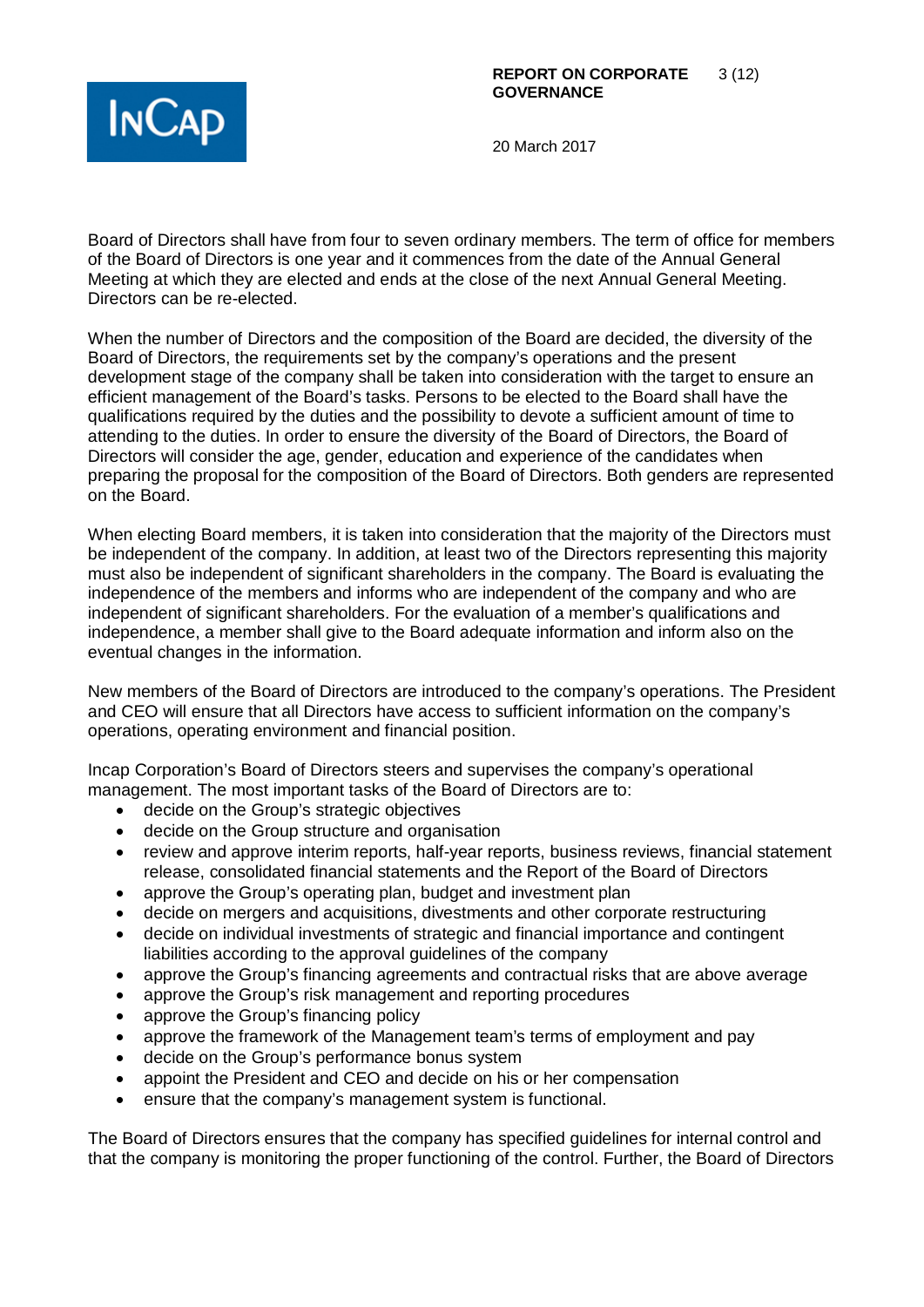

Board of Directors shall have from four to seven ordinary members. The term of office for members of the Board of Directors is one year and it commences from the date of the Annual General Meeting at which they are elected and ends at the close of the next Annual General Meeting. Directors can be re-elected.

When the number of Directors and the composition of the Board are decided, the diversity of the Board of Directors, the requirements set by the company's operations and the present development stage of the company shall be taken into consideration with the target to ensure an efficient management of the Board's tasks. Persons to be elected to the Board shall have the qualifications required by the duties and the possibility to devote a sufficient amount of time to attending to the duties. In order to ensure the diversity of the Board of Directors, the Board of Directors will consider the age, gender, education and experience of the candidates when preparing the proposal for the composition of the Board of Directors. Both genders are represented on the Board.

When electing Board members, it is taken into consideration that the majority of the Directors must be independent of the company. In addition, at least two of the Directors representing this majority must also be independent of significant shareholders in the company. The Board is evaluating the independence of the members and informs who are independent of the company and who are independent of significant shareholders. For the evaluation of a member's qualifications and independence, a member shall give to the Board adequate information and inform also on the eventual changes in the information.

New members of the Board of Directors are introduced to the company's operations. The President and CEO will ensure that all Directors have access to sufficient information on the company's operations, operating environment and financial position.

Incap Corporation's Board of Directors steers and supervises the company's operational management. The most important tasks of the Board of Directors are to:

- decide on the Group's strategic objectives
- decide on the Group structure and organisation
- review and approve interim reports, half-year reports, business reviews, financial statement release, consolidated financial statements and the Report of the Board of Directors
- approve the Group's operating plan, budget and investment plan
- decide on mergers and acquisitions, divestments and other corporate restructuring
- decide on individual investments of strategic and financial importance and contingent liabilities according to the approval guidelines of the company
- approve the Group's financing agreements and contractual risks that are above average
- approve the Group's risk management and reporting procedures
- approve the Group's financing policy
- approve the framework of the Management team's terms of employment and pay
- decide on the Group's performance bonus system
- appoint the President and CEO and decide on his or her compensation
- ensure that the company's management system is functional.

The Board of Directors ensures that the company has specified guidelines for internal control and that the company is monitoring the proper functioning of the control. Further, the Board of Directors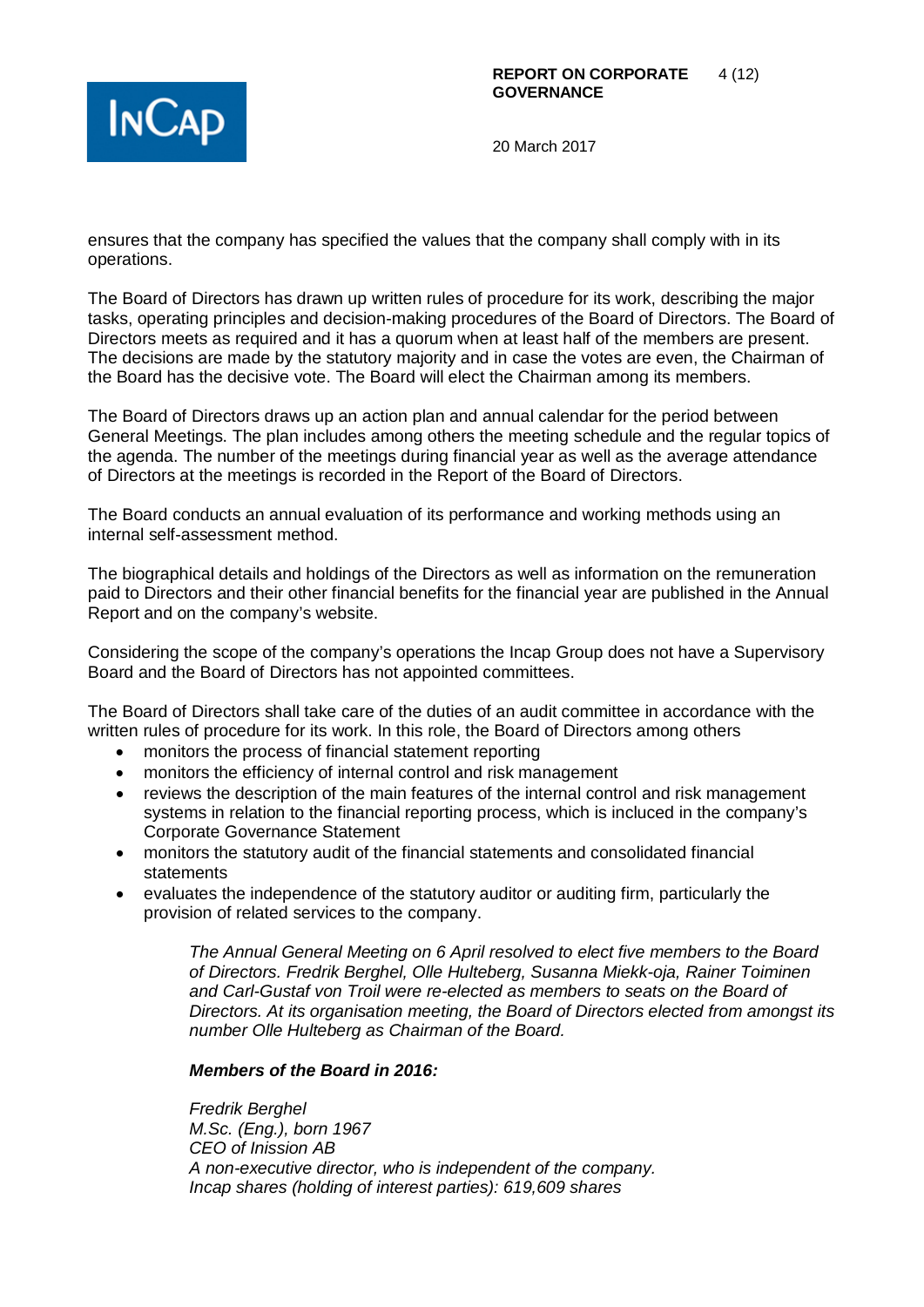

ensures that the company has specified the values that the company shall comply with in its operations.

The Board of Directors has drawn up written rules of procedure for its work, describing the major tasks, operating principles and decision-making procedures of the Board of Directors. The Board of Directors meets as required and it has a quorum when at least half of the members are present. The decisions are made by the statutory majority and in case the votes are even, the Chairman of the Board has the decisive vote. The Board will elect the Chairman among its members.

The Board of Directors draws up an action plan and annual calendar for the period between General Meetings. The plan includes among others the meeting schedule and the regular topics of the agenda. The number of the meetings during financial year as well as the average attendance of Directors at the meetings is recorded in the Report of the Board of Directors.

The Board conducts an annual evaluation of its performance and working methods using an internal self-assessment method.

The biographical details and holdings of the Directors as well as information on the remuneration paid to Directors and their other financial benefits for the financial year are published in the Annual Report and on the company's website.

Considering the scope of the company's operations the Incap Group does not have a Supervisory Board and the Board of Directors has not appointed committees.

The Board of Directors shall take care of the duties of an audit committee in accordance with the written rules of procedure for its work. In this role, the Board of Directors among others

- monitors the process of financial statement reporting
- monitors the efficiency of internal control and risk management
- reviews the description of the main features of the internal control and risk management systems in relation to the financial reporting process, which is incluced in the company's Corporate Governance Statement
- monitors the statutory audit of the financial statements and consolidated financial statements
- evaluates the independence of the statutory auditor or auditing firm, particularly the provision of related services to the company.

*The Annual General Meeting on 6 April resolved to elect five members to the Board of Directors. Fredrik Berghel, Olle Hulteberg, Susanna Miekk-oja, Rainer Toiminen and Carl-Gustaf von Troil were re-elected as members to seats on the Board of Directors. At its organisation meeting, the Board of Directors elected from amongst its number Olle Hulteberg as Chairman of the Board.* 

#### *Members of the Board in 2016:*

*Fredrik Berghel M.Sc. (Eng.), born 1967 CEO of Inission AB A non-executive director, who is independent of the company. Incap shares (holding of interest parties): 619,609 shares*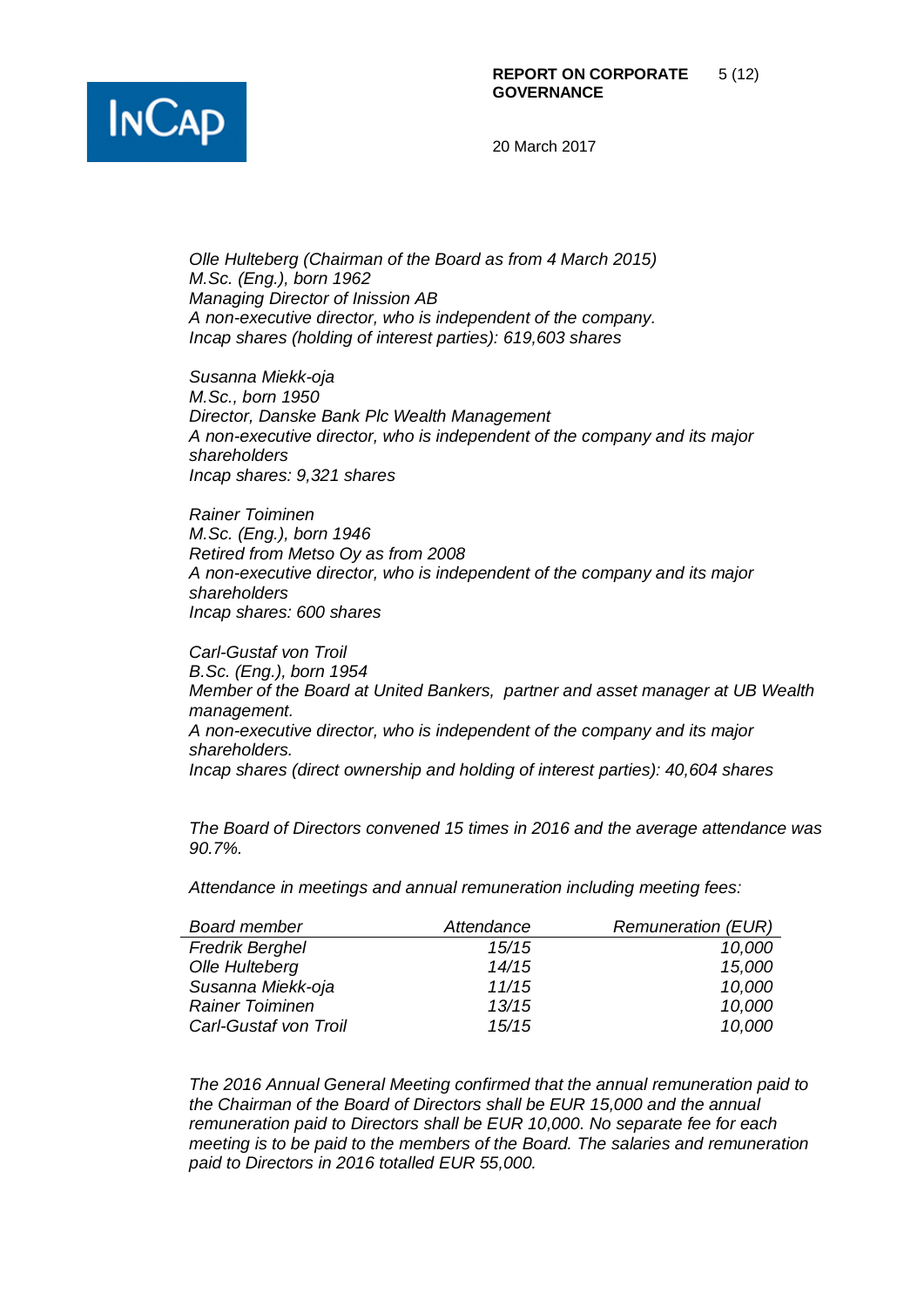

*Olle Hulteberg (Chairman of the Board as from 4 March 2015) M.Sc. (Eng.), born 1962 Managing Director of Inission AB A non-executive director, who is independent of the company. Incap shares (holding of interest parties): 619,603 shares*

*Susanna Miekk-oja M.Sc., born 1950 Director, Danske Bank Plc Wealth Management A non-executive director, who is independent of the company and its major shareholders Incap shares: 9,321 shares*

*Rainer Toiminen M.Sc. (Eng.), born 1946 Retired from Metso Oy as from 2008 A non-executive director, who is independent of the company and its major shareholders Incap shares: 600 shares*

*Carl-Gustaf von Troil B.Sc. (Eng.), born 1954 Member of the Board at United Bankers, partner and asset manager at UB Wealth management. A non-executive director, who is independent of the company and its major shareholders. Incap shares (direct ownership and holding of interest parties): 40,604 shares*

*The Board of Directors convened 15 times in 2016 and the average attendance was 90.7%.*

*Attendance in meetings and annual remuneration including meeting fees:*

| <b>Board member</b>    | Attendance | <b>Remuneration (EUR)</b> |
|------------------------|------------|---------------------------|
| <b>Fredrik Berghel</b> | 15/15      | 10,000                    |
| Olle Hulteberg         | 14/15      | 15,000                    |
| Susanna Miekk-oja      | 11/15      | 10,000                    |
| <b>Rainer Toiminen</b> | 13/15      | 10,000                    |
| Carl-Gustaf von Troil  | 15/15      | 10,000                    |

*The 2016 Annual General Meeting confirmed that the annual remuneration paid to the Chairman of the Board of Directors shall be EUR 15,000 and the annual remuneration paid to Directors shall be EUR 10,000. No separate fee for each meeting is to be paid to the members of the Board. The salaries and remuneration paid to Directors in 2016 totalled EUR 55,000.*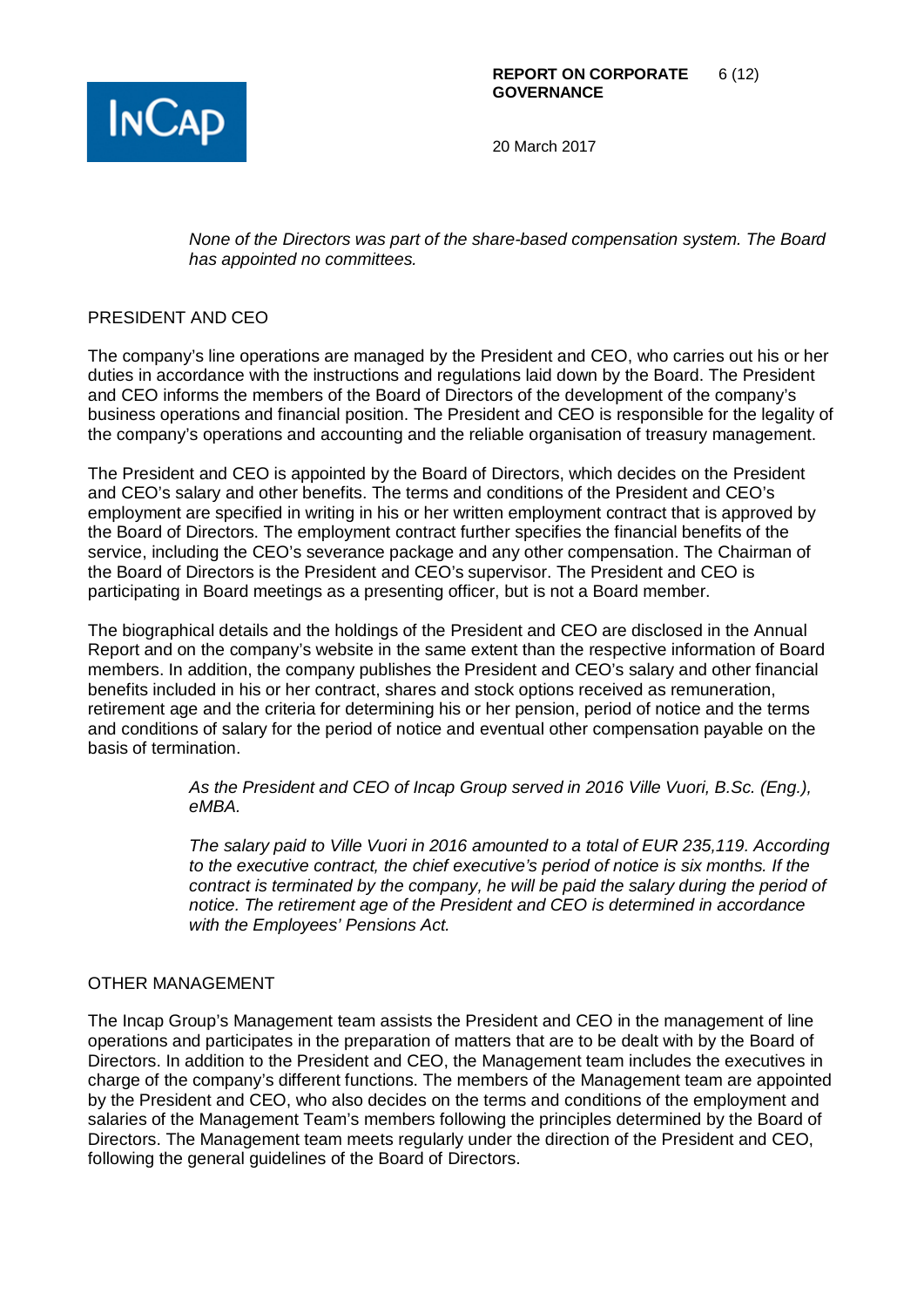

*None of the Directors was part of the share-based compensation system. The Board has appointed no committees.*

## PRESIDENT AND CEO

The company's line operations are managed by the President and CEO, who carries out his or her duties in accordance with the instructions and regulations laid down by the Board. The President and CEO informs the members of the Board of Directors of the development of the company's business operations and financial position. The President and CEO is responsible for the legality of the company's operations and accounting and the reliable organisation of treasury management.

The President and CEO is appointed by the Board of Directors, which decides on the President and CEO's salary and other benefits. The terms and conditions of the President and CEO's employment are specified in writing in his or her written employment contract that is approved by the Board of Directors. The employment contract further specifies the financial benefits of the service, including the CEO's severance package and any other compensation. The Chairman of the Board of Directors is the President and CEO's supervisor. The President and CEO is participating in Board meetings as a presenting officer, but is not a Board member.

The biographical details and the holdings of the President and CEO are disclosed in the Annual Report and on the company's website in the same extent than the respective information of Board members. In addition, the company publishes the President and CEO's salary and other financial benefits included in his or her contract, shares and stock options received as remuneration, retirement age and the criteria for determining his or her pension, period of notice and the terms and conditions of salary for the period of notice and eventual other compensation payable on the basis of termination.

> *As the President and CEO of Incap Group served in 2016 Ville Vuori, B.Sc. (Eng.), eMBA.*

*The salary paid to Ville Vuori in 2016 amounted to a total of EUR 235,119. According to the executive contract, the chief executive's period of notice is six months. If the contract is terminated by the company, he will be paid the salary during the period of notice. The retirement age of the President and CEO is determined in accordance with the Employees' Pensions Act.* 

#### OTHER MANAGEMENT

The Incap Group's Management team assists the President and CEO in the management of line operations and participates in the preparation of matters that are to be dealt with by the Board of Directors. In addition to the President and CEO, the Management team includes the executives in charge of the company's different functions. The members of the Management team are appointed by the President and CEO, who also decides on the terms and conditions of the employment and salaries of the Management Team's members following the principles determined by the Board of Directors. The Management team meets regularly under the direction of the President and CEO, following the general guidelines of the Board of Directors.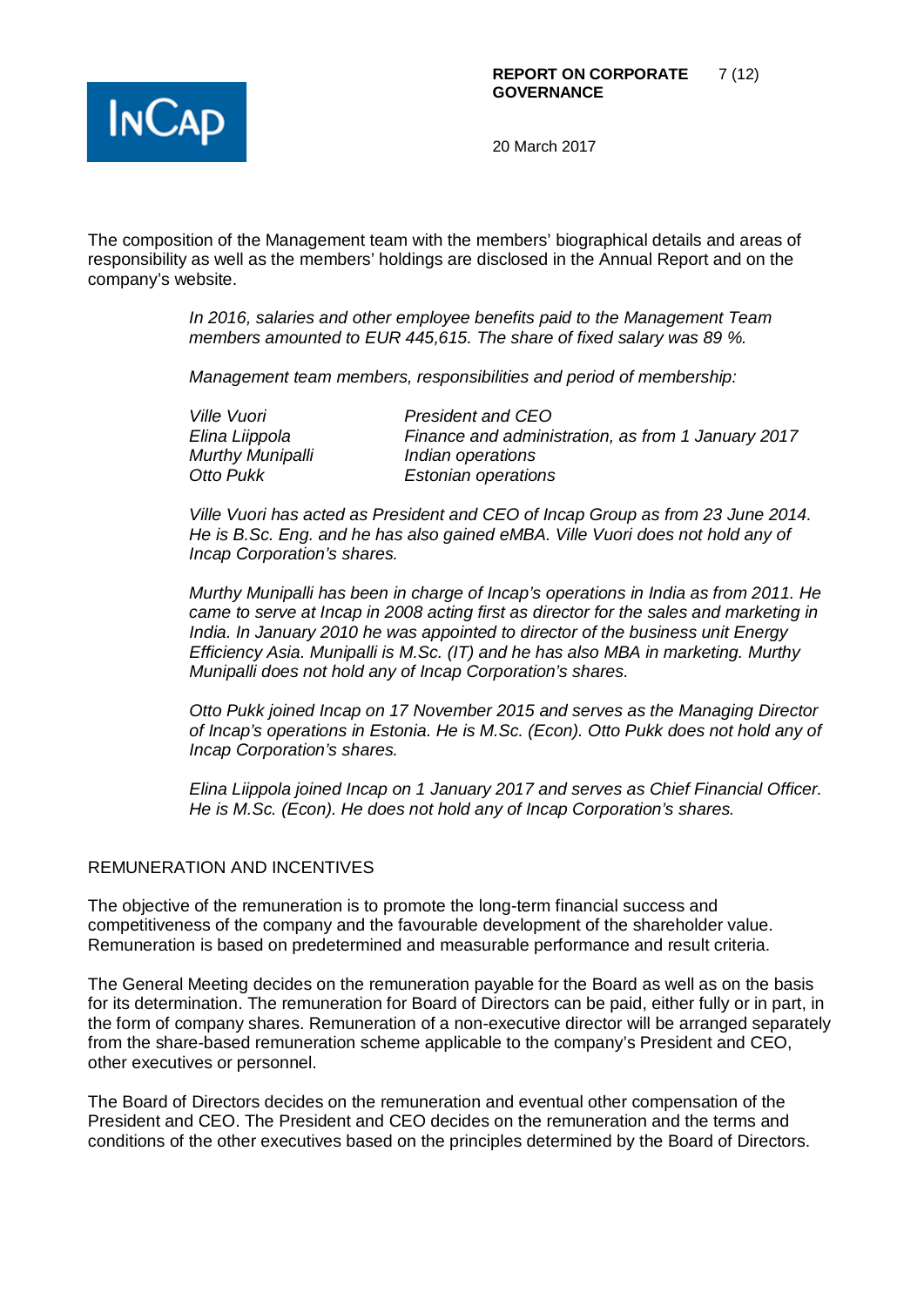

The composition of the Management team with the members' biographical details and areas of responsibility as well as the members' holdings are disclosed in the Annual Report and on the company's website.

> *In 2016, salaries and other employee benefits paid to the Management Team members amounted to EUR 445,615. The share of fixed salary was 89 %.*

*Management team members, responsibilities and period of membership:*

*Ville Vuori President and CEO*

*Elina Liippola Finance and administration, as from 1 January 2017 Murthy Munipalli Indian operations Otto Pukk Estonian operations*

*Ville Vuori has acted as President and CEO of Incap Group as from 23 June 2014. He is B.Sc. Eng. and he has also gained eMBA. Ville Vuori does not hold any of Incap Corporation's shares.*

*Murthy Munipalli has been in charge of Incap's operations in India as from 2011. He came to serve at Incap in 2008 acting first as director for the sales and marketing in India. In January 2010 he was appointed to director of the business unit Energy Efficiency Asia. Munipalli is M.Sc. (IT) and he has also MBA in marketing. Murthy Munipalli does not hold any of Incap Corporation's shares.* 

*Otto Pukk joined Incap on 17 November 2015 and serves as the Managing Director of Incap's operations in Estonia. He is M.Sc. (Econ). Otto Pukk does not hold any of Incap Corporation's shares.* 

*Elina Liippola joined Incap on 1 January 2017 and serves as Chief Financial Officer. He is M.Sc. (Econ). He does not hold any of Incap Corporation's shares.*

#### REMUNERATION AND INCENTIVES

The objective of the remuneration is to promote the long-term financial success and competitiveness of the company and the favourable development of the shareholder value. Remuneration is based on predetermined and measurable performance and result criteria.

The General Meeting decides on the remuneration payable for the Board as well as on the basis for its determination. The remuneration for Board of Directors can be paid, either fully or in part, in the form of company shares. Remuneration of a non-executive director will be arranged separately from the share-based remuneration scheme applicable to the company's President and CEO, other executives or personnel.

The Board of Directors decides on the remuneration and eventual other compensation of the President and CEO. The President and CEO decides on the remuneration and the terms and conditions of the other executives based on the principles determined by the Board of Directors.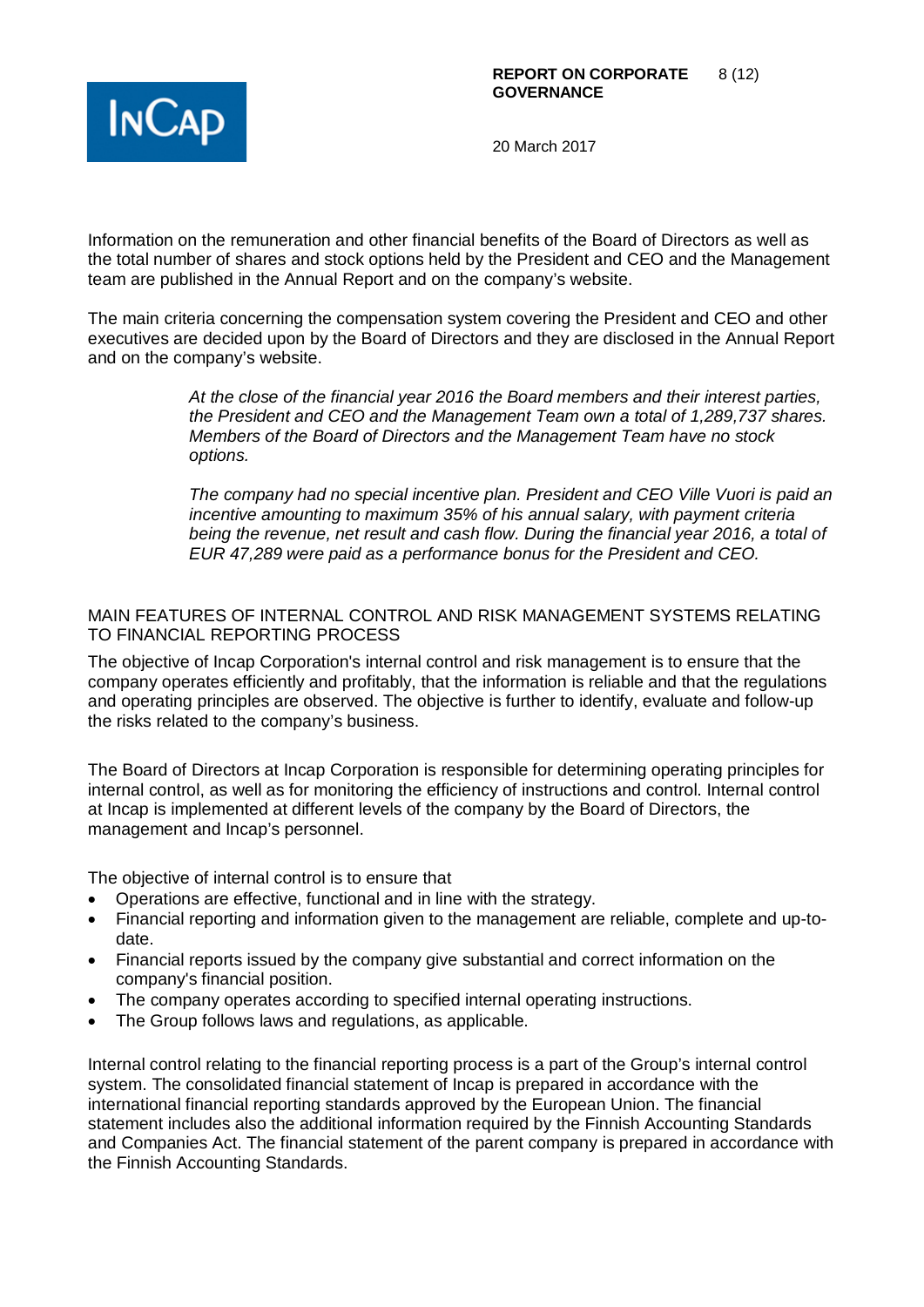

Information on the remuneration and other financial benefits of the Board of Directors as well as the total number of shares and stock options held by the President and CEO and the Management team are published in the Annual Report and on the company's website.

The main criteria concerning the compensation system covering the President and CEO and other executives are decided upon by the Board of Directors and they are disclosed in the Annual Report and on the company's website.

> *At the close of the financial year 2016 the Board members and their interest parties, the President and CEO and the Management Team own a total of 1,289,737 shares. Members of the Board of Directors and the Management Team have no stock options.*

*The company had no special incentive plan. President and CEO Ville Vuori is paid an incentive amounting to maximum 35% of his annual salary, with payment criteria being the revenue, net result and cash flow. During the financial year 2016, a total of EUR 47,289 were paid as a performance bonus for the President and CEO.*

#### MAIN FEATURES OF INTERNAL CONTROL AND RISK MANAGEMENT SYSTEMS RELATING TO FINANCIAL REPORTING PROCESS

The objective of Incap Corporation's internal control and risk management is to ensure that the company operates efficiently and profitably, that the information is reliable and that the regulations and operating principles are observed. The objective is further to identify, evaluate and follow-up the risks related to the company's business.

The Board of Directors at Incap Corporation is responsible for determining operating principles for internal control, as well as for monitoring the efficiency of instructions and control. Internal control at Incap is implemented at different levels of the company by the Board of Directors, the management and Incap's personnel.

The objective of internal control is to ensure that

- Operations are effective, functional and in line with the strategy.
- Financial reporting and information given to the management are reliable, complete and up-todate.
- Financial reports issued by the company give substantial and correct information on the company's financial position.
- The company operates according to specified internal operating instructions.
- The Group follows laws and regulations, as applicable.

Internal control relating to the financial reporting process is a part of the Group's internal control system. The consolidated financial statement of Incap is prepared in accordance with the international financial reporting standards approved by the European Union. The financial statement includes also the additional information required by the Finnish Accounting Standards and Companies Act. The financial statement of the parent company is prepared in accordance with the Finnish Accounting Standards.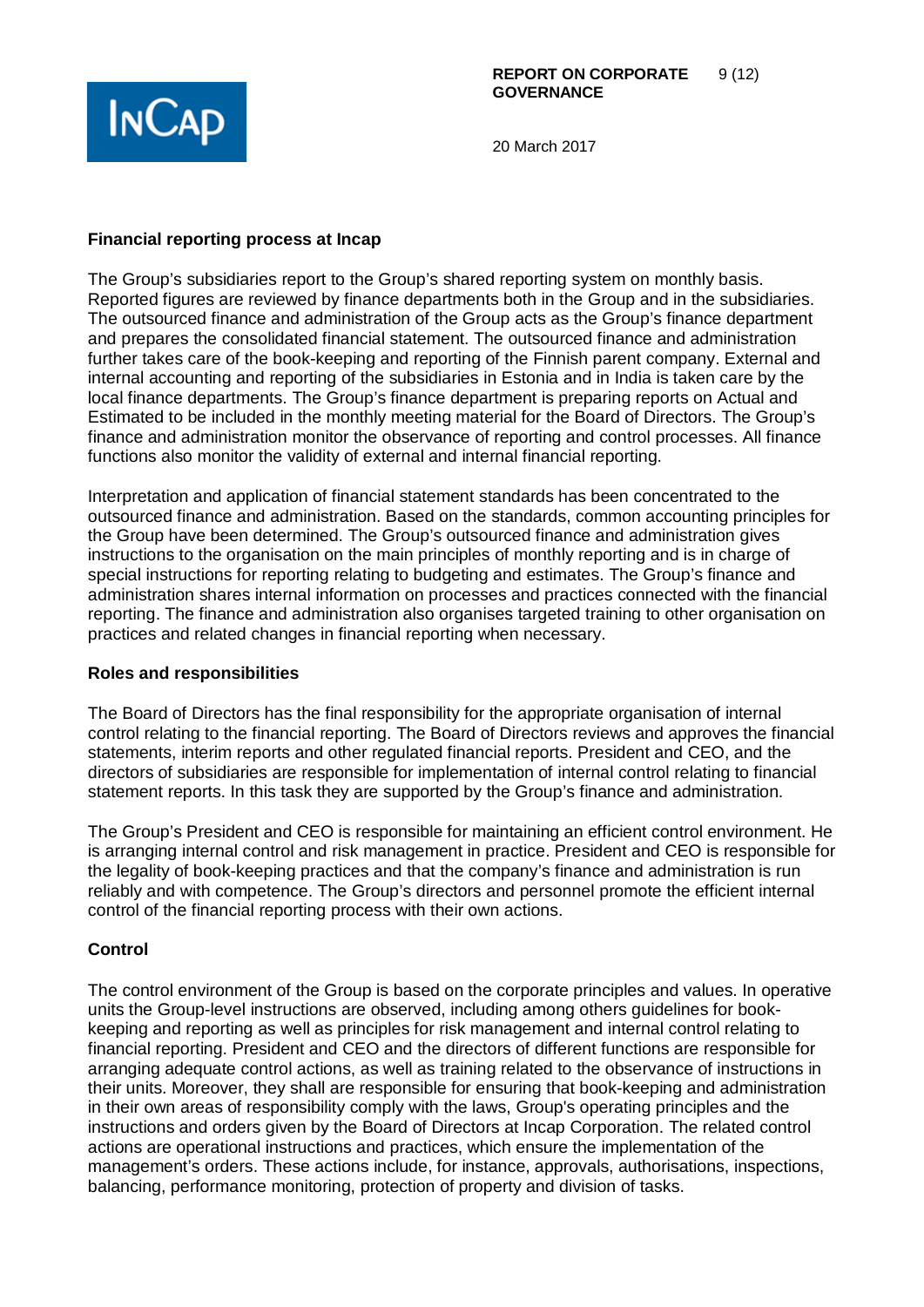

#### **Financial reporting process at Incap**

The Group's subsidiaries report to the Group's shared reporting system on monthly basis. Reported figures are reviewed by finance departments both in the Group and in the subsidiaries. The outsourced finance and administration of the Group acts as the Group's finance department and prepares the consolidated financial statement. The outsourced finance and administration further takes care of the book-keeping and reporting of the Finnish parent company. External and internal accounting and reporting of the subsidiaries in Estonia and in India is taken care by the local finance departments. The Group's finance department is preparing reports on Actual and Estimated to be included in the monthly meeting material for the Board of Directors. The Group's finance and administration monitor the observance of reporting and control processes. All finance functions also monitor the validity of external and internal financial reporting.

Interpretation and application of financial statement standards has been concentrated to the outsourced finance and administration. Based on the standards, common accounting principles for the Group have been determined. The Group's outsourced finance and administration gives instructions to the organisation on the main principles of monthly reporting and is in charge of special instructions for reporting relating to budgeting and estimates. The Group's finance and administration shares internal information on processes and practices connected with the financial reporting. The finance and administration also organises targeted training to other organisation on practices and related changes in financial reporting when necessary.

#### **Roles and responsibilities**

The Board of Directors has the final responsibility for the appropriate organisation of internal control relating to the financial reporting. The Board of Directors reviews and approves the financial statements, interim reports and other regulated financial reports. President and CEO, and the directors of subsidiaries are responsible for implementation of internal control relating to financial statement reports. In this task they are supported by the Group's finance and administration.

The Group's President and CEO is responsible for maintaining an efficient control environment. He is arranging internal control and risk management in practice. President and CEO is responsible for the legality of book-keeping practices and that the company's finance and administration is run reliably and with competence. The Group's directors and personnel promote the efficient internal control of the financial reporting process with their own actions.

## **Control**

The control environment of the Group is based on the corporate principles and values. In operative units the Group-level instructions are observed, including among others guidelines for bookkeeping and reporting as well as principles for risk management and internal control relating to financial reporting. President and CEO and the directors of different functions are responsible for arranging adequate control actions, as well as training related to the observance of instructions in their units. Moreover, they shall are responsible for ensuring that book-keeping and administration in their own areas of responsibility comply with the laws, Group's operating principles and the instructions and orders given by the Board of Directors at Incap Corporation. The related control actions are operational instructions and practices, which ensure the implementation of the management's orders. These actions include, for instance, approvals, authorisations, inspections, balancing, performance monitoring, protection of property and division of tasks.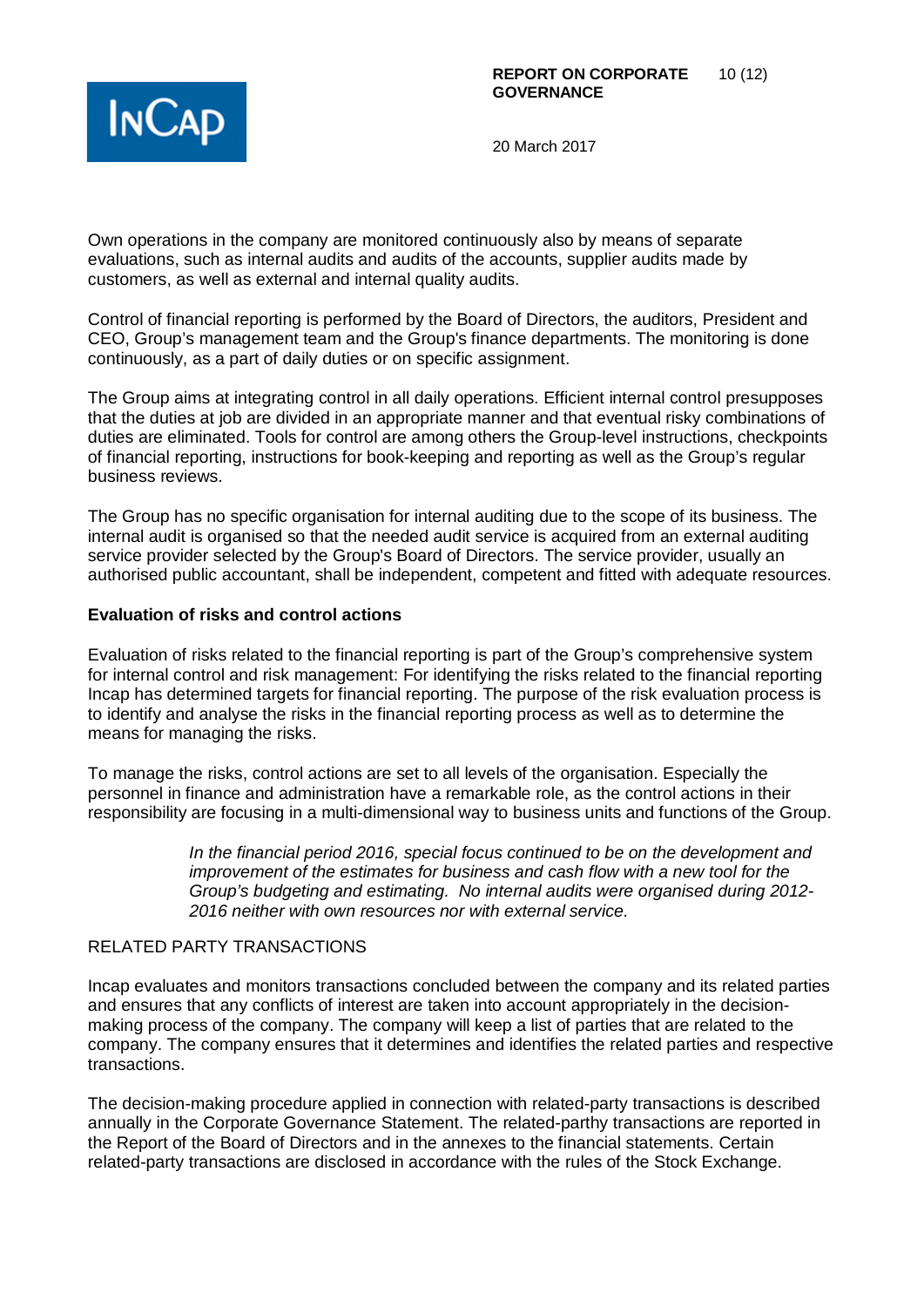

Own operations in the company are monitored continuously also by means of separate evaluations, such as internal audits and audits of the accounts, supplier audits made by customers, as well as external and internal quality audits.

Control of financial reporting is performed by the Board of Directors, the auditors, President and CEO, Group's management team and the Group's finance departments. The monitoring is done continuously, as a part of daily duties or on specific assignment.

The Group aims at integrating control in all daily operations. Efficient internal control presupposes that the duties at job are divided in an appropriate manner and that eventual risky combinations of duties are eliminated. Tools for control are among others the Group-level instructions, checkpoints of financial reporting, instructions for book-keeping and reporting as well as the Group's regular business reviews.

The Group has no specific organisation for internal auditing due to the scope of its business. The internal audit is organised so that the needed audit service is acquired from an external auditing service provider selected by the Group's Board of Directors. The service provider, usually an authorised public accountant, shall be independent, competent and fitted with adequate resources.

#### **Evaluation of risks and control actions**

Evaluation of risks related to the financial reporting is part of the Group's comprehensive system for internal control and risk management: For identifying the risks related to the financial reporting Incap has determined targets for financial reporting. The purpose of the risk evaluation process is to identify and analyse the risks in the financial reporting process as well as to determine the means for managing the risks.

To manage the risks, control actions are set to all levels of the organisation. Especially the personnel in finance and administration have a remarkable role, as the control actions in their responsibility are focusing in a multi-dimensional way to business units and functions of the Group.

> *In the financial period 2016, special focus continued to be on the development and improvement of the estimates for business and cash flow with a new tool for the Group's budgeting and estimating. No internal audits were organised during 2012- 2016 neither with own resources nor with external service.*

## RELATED PARTY TRANSACTIONS

Incap evaluates and monitors transactions concluded between the company and its related parties and ensures that any conflicts of interest are taken into account appropriately in the decisionmaking process of the company. The company will keep a list of parties that are related to the company. The company ensures that it determines and identifies the related parties and respective transactions.

The decision-making procedure applied in connection with related-party transactions is described annually in the Corporate Governance Statement. The related-parthy transactions are reported in the Report of the Board of Directors and in the annexes to the financial statements. Certain related-party transactions are disclosed in accordance with the rules of the Stock Exchange.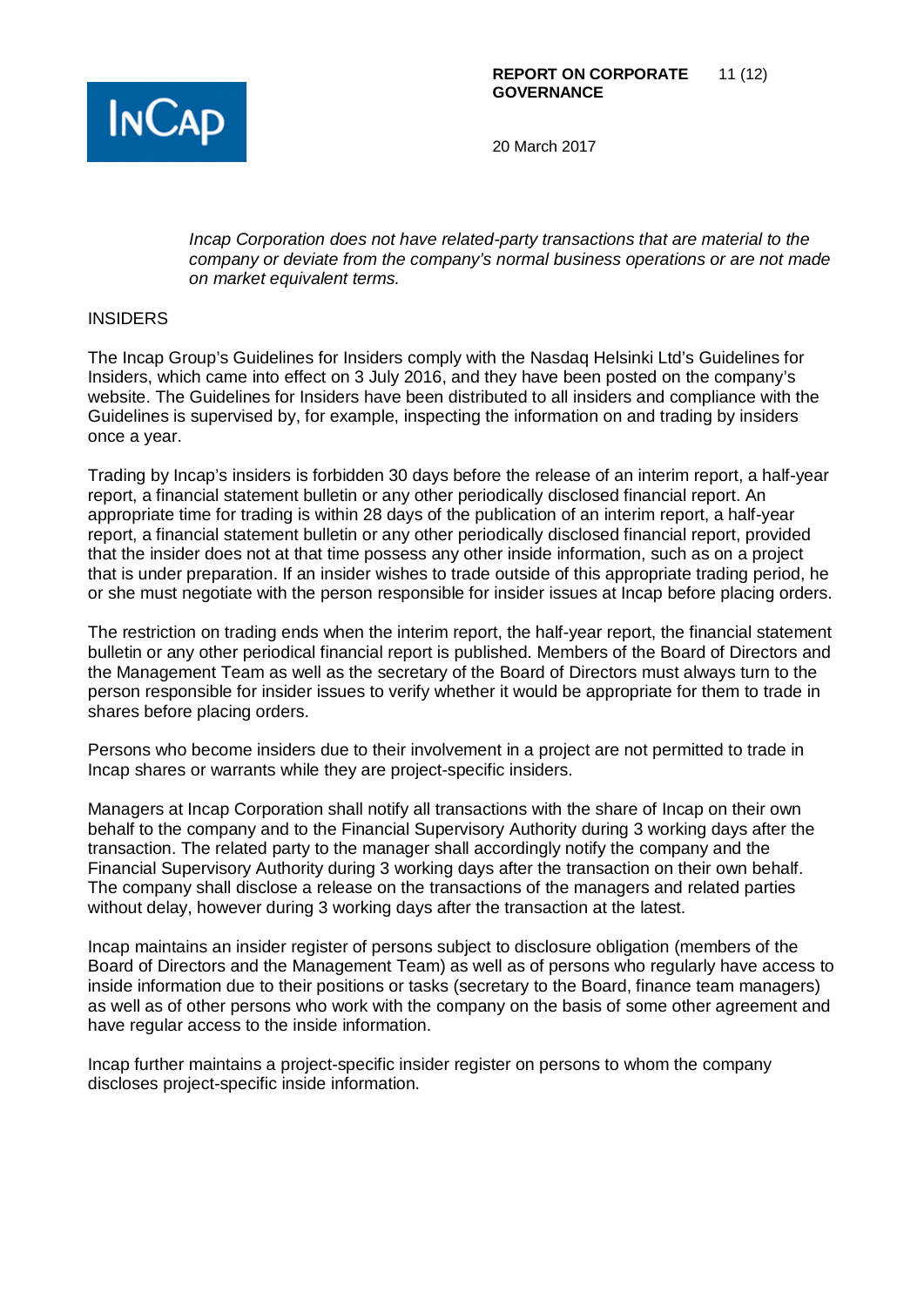

*Incap Corporation does not have related-party transactions that are material to the company or deviate from the company's normal business operations or are not made on market equivalent terms.*

#### INSIDERS

The Incap Group's Guidelines for Insiders comply with the Nasdaq Helsinki Ltd's Guidelines for Insiders, which came into effect on 3 July 2016, and they have been posted on the company's website. The Guidelines for Insiders have been distributed to all insiders and compliance with the Guidelines is supervised by, for example, inspecting the information on and trading by insiders once a year.

Trading by Incap's insiders is forbidden 30 days before the release of an interim report, a half-year report, a financial statement bulletin or any other periodically disclosed financial report. An appropriate time for trading is within 28 days of the publication of an interim report, a half-year report, a financial statement bulletin or any other periodically disclosed financial report, provided that the insider does not at that time possess any other inside information, such as on a project that is under preparation. If an insider wishes to trade outside of this appropriate trading period, he or she must negotiate with the person responsible for insider issues at Incap before placing orders.

The restriction on trading ends when the interim report, the half-year report, the financial statement bulletin or any other periodical financial report is published. Members of the Board of Directors and the Management Team as well as the secretary of the Board of Directors must always turn to the person responsible for insider issues to verify whether it would be appropriate for them to trade in shares before placing orders.

Persons who become insiders due to their involvement in a project are not permitted to trade in Incap shares or warrants while they are project-specific insiders.

Managers at Incap Corporation shall notify all transactions with the share of Incap on their own behalf to the company and to the Financial Supervisory Authority during 3 working days after the transaction. The related party to the manager shall accordingly notify the company and the Financial Supervisory Authority during 3 working days after the transaction on their own behalf. The company shall disclose a release on the transactions of the managers and related parties without delay, however during 3 working days after the transaction at the latest.

Incap maintains an insider register of persons subject to disclosure obligation (members of the Board of Directors and the Management Team) as well as of persons who regularly have access to inside information due to their positions or tasks (secretary to the Board, finance team managers) as well as of other persons who work with the company on the basis of some other agreement and have regular access to the inside information.

Incap further maintains a project-specific insider register on persons to whom the company discloses project-specific inside information.